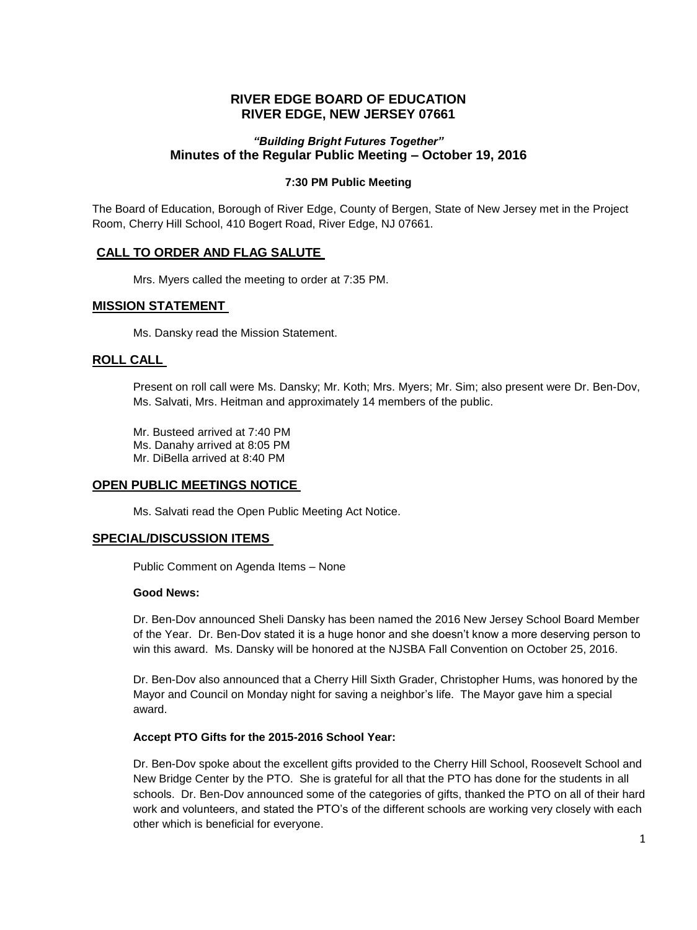## **RIVER EDGE BOARD OF EDUCATION RIVER EDGE, NEW JERSEY 07661**

## *"Building Bright Futures Together"* **Minutes of the Regular Public Meeting – October 19, 2016**

#### **7:30 PM Public Meeting**

The Board of Education, Borough of River Edge, County of Bergen, State of New Jersey met in the Project Room, Cherry Hill School, 410 Bogert Road, River Edge, NJ 07661.

## **CALL TO ORDER AND FLAG SALUTE**

Mrs. Myers called the meeting to order at 7:35 PM.

## **MISSION STATEMENT**

Ms. Dansky read the Mission Statement.

## **ROLL CALL**

Present on roll call were Ms. Dansky; Mr. Koth; Mrs. Myers; Mr. Sim; also present were Dr. Ben-Dov, Ms. Salvati, Mrs. Heitman and approximately 14 members of the public.

Mr. Busteed arrived at 7:40 PM Ms. Danahy arrived at 8:05 PM Mr. DiBella arrived at 8:40 PM

## **OPEN PUBLIC MEETINGS NOTICE**

Ms. Salvati read the Open Public Meeting Act Notice.

#### **SPECIAL/DISCUSSION ITEMS**

Public Comment on Agenda Items – None

#### **Good News:**

Dr. Ben-Dov announced Sheli Dansky has been named the 2016 New Jersey School Board Member of the Year. Dr. Ben-Dov stated it is a huge honor and she doesn't know a more deserving person to win this award. Ms. Dansky will be honored at the NJSBA Fall Convention on October 25, 2016.

Dr. Ben-Dov also announced that a Cherry Hill Sixth Grader, Christopher Hums, was honored by the Mayor and Council on Monday night for saving a neighbor's life. The Mayor gave him a special award.

#### **Accept PTO Gifts for the 2015-2016 School Year:**

Dr. Ben-Dov spoke about the excellent gifts provided to the Cherry Hill School, Roosevelt School and New Bridge Center by the PTO. She is grateful for all that the PTO has done for the students in all schools. Dr. Ben-Dov announced some of the categories of gifts, thanked the PTO on all of their hard work and volunteers, and stated the PTO's of the different schools are working very closely with each other which is beneficial for everyone.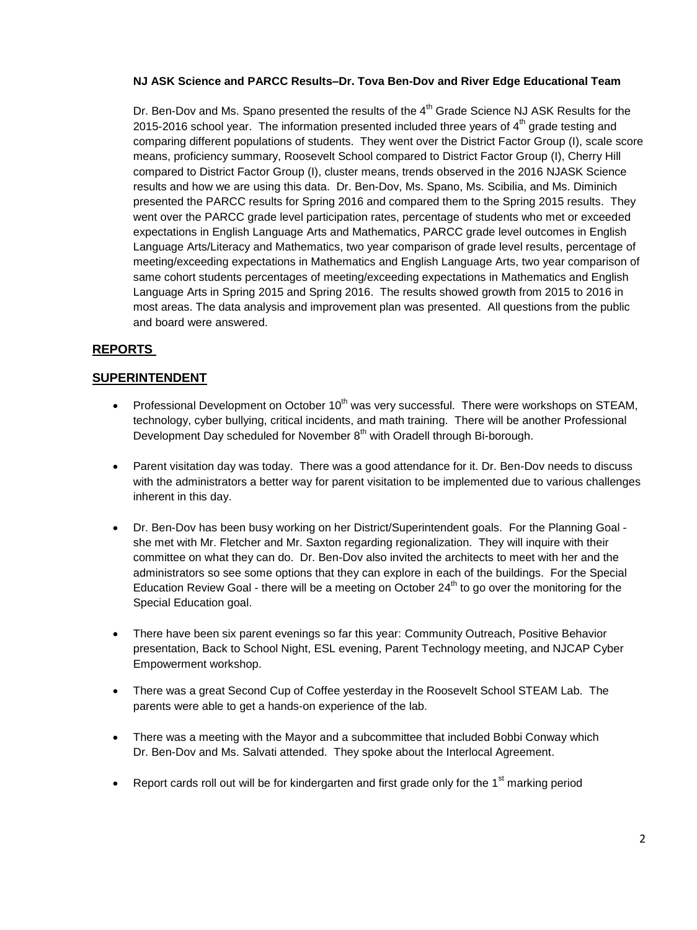## **NJ ASK Science and PARCC Results–Dr. Tova Ben-Dov and River Edge Educational Team**

Dr. Ben-Dov and Ms. Spano presented the results of the 4<sup>th</sup> Grade Science NJ ASK Results for the 2015-2016 school year. The information presented included three years of  $4<sup>th</sup>$  grade testing and comparing different populations of students. They went over the District Factor Group (I), scale score means, proficiency summary, Roosevelt School compared to District Factor Group (I), Cherry Hill compared to District Factor Group (I), cluster means, trends observed in the 2016 NJASK Science results and how we are using this data. Dr. Ben-Dov, Ms. Spano, Ms. Scibilia, and Ms. Diminich presented the PARCC results for Spring 2016 and compared them to the Spring 2015 results. They went over the PARCC grade level participation rates, percentage of students who met or exceeded expectations in English Language Arts and Mathematics, PARCC grade level outcomes in English Language Arts/Literacy and Mathematics, two year comparison of grade level results, percentage of meeting/exceeding expectations in Mathematics and English Language Arts, two year comparison of same cohort students percentages of meeting/exceeding expectations in Mathematics and English Language Arts in Spring 2015 and Spring 2016. The results showed growth from 2015 to 2016 in most areas. The data analysis and improvement plan was presented. All questions from the public and board were answered.

# **REPORTS**

## **SUPERINTENDENT**

- Professional Development on October 10<sup>th</sup> was very successful. There were workshops on STEAM, technology, cyber bullying, critical incidents, and math training. There will be another Professional Development Day scheduled for November  $8<sup>th</sup>$  with Oradell through Bi-borough.
- Parent visitation day was today. There was a good attendance for it. Dr. Ben-Dov needs to discuss with the administrators a better way for parent visitation to be implemented due to various challenges inherent in this day.
- Dr. Ben-Dov has been busy working on her District/Superintendent goals. For the Planning Goal she met with Mr. Fletcher and Mr. Saxton regarding regionalization. They will inquire with their committee on what they can do. Dr. Ben-Dov also invited the architects to meet with her and the administrators so see some options that they can explore in each of the buildings. For the Special Education Review Goal - there will be a meeting on October  $24<sup>th</sup>$  to go over the monitoring for the Special Education goal.
- There have been six parent evenings so far this year: Community Outreach, Positive Behavior presentation, Back to School Night, ESL evening, Parent Technology meeting, and NJCAP Cyber Empowerment workshop.
- There was a great Second Cup of Coffee yesterday in the Roosevelt School STEAM Lab. The parents were able to get a hands-on experience of the lab.
- There was a meeting with the Mayor and a subcommittee that included Bobbi Conway which Dr. Ben-Dov and Ms. Salvati attended. They spoke about the Interlocal Agreement.
- Report cards roll out will be for kindergarten and first grade only for the  $1<sup>st</sup>$  marking period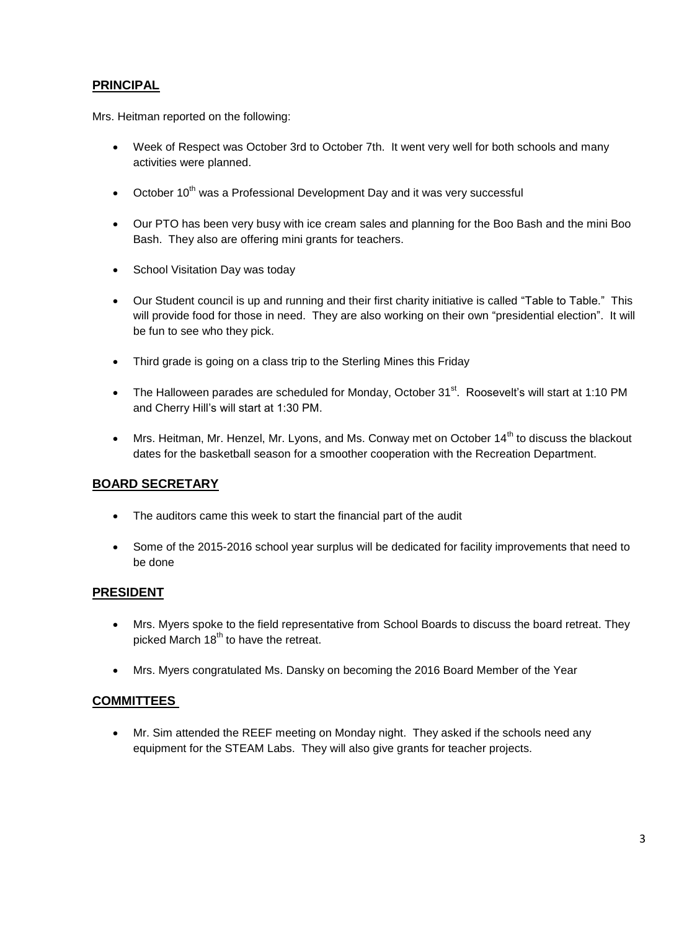## **PRINCIPAL**

Mrs. Heitman reported on the following:

- Week of Respect was October 3rd to October 7th. It went very well for both schools and many activities were planned.
- October  $10^{th}$  was a Professional Development Day and it was very successful
- Our PTO has been very busy with ice cream sales and planning for the Boo Bash and the mini Boo Bash. They also are offering mini grants for teachers.
- School Visitation Day was today
- Our Student council is up and running and their first charity initiative is called "Table to Table." This will provide food for those in need. They are also working on their own "presidential election". It will be fun to see who they pick.
- Third grade is going on a class trip to the Sterling Mines this Friday
- The Halloween parades are scheduled for Monday, October 31 $^{\text{st}}$ . Roosevelt's will start at 1:10 PM and Cherry Hill's will start at 1:30 PM.
- $\bullet$  Mrs. Heitman, Mr. Henzel, Mr. Lyons, and Ms. Conway met on October 14<sup>th</sup> to discuss the blackout dates for the basketball season for a smoother cooperation with the Recreation Department.

## **BOARD SECRETARY**

- The auditors came this week to start the financial part of the audit
- Some of the 2015-2016 school year surplus will be dedicated for facility improvements that need to be done

## **PRESIDENT**

- Mrs. Myers spoke to the field representative from School Boards to discuss the board retreat. They picked March  $18<sup>th</sup>$  to have the retreat.
- Mrs. Myers congratulated Ms. Dansky on becoming the 2016 Board Member of the Year

## **COMMITTEES**

 Mr. Sim attended the REEF meeting on Monday night. They asked if the schools need any equipment for the STEAM Labs. They will also give grants for teacher projects.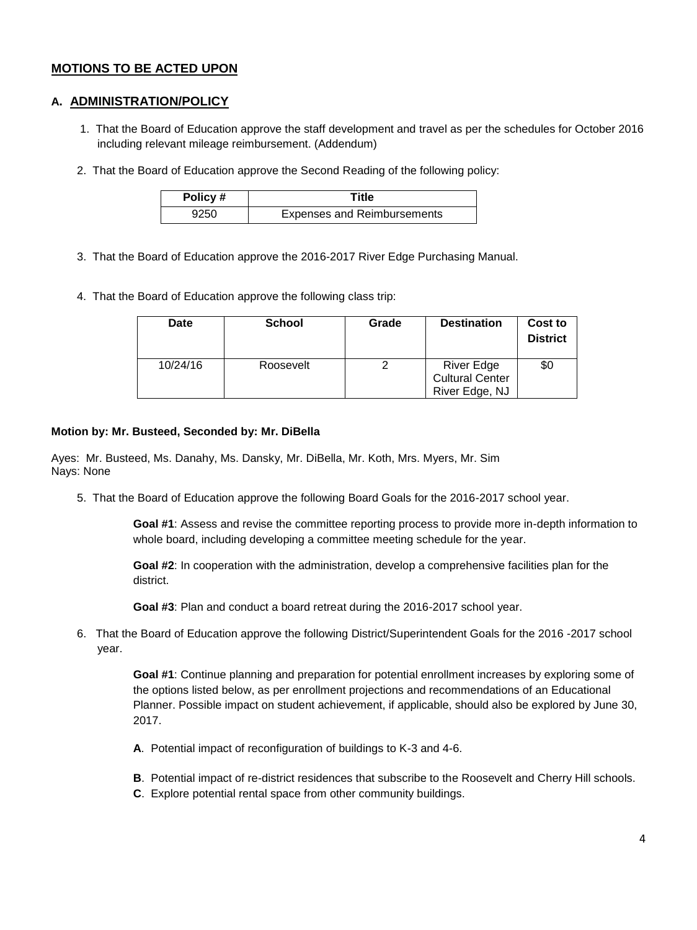## **MOTIONS TO BE ACTED UPON**

## **A. ADMINISTRATION/POLICY**

- 1. That the Board of Education approve the staff development and travel as per the schedules for October 2016 including relevant mileage reimbursement. (Addendum)
- 2. That the Board of Education approve the Second Reading of the following policy:

| Policy # | Title                              |  |
|----------|------------------------------------|--|
| 9250     | <b>Expenses and Reimbursements</b> |  |

- 3. That the Board of Education approve the 2016-2017 River Edge Purchasing Manual.
- 4. That the Board of Education approve the following class trip:

| Date     | <b>School</b> | Grade | <b>Destination</b>                                            | Cost to<br><b>District</b> |
|----------|---------------|-------|---------------------------------------------------------------|----------------------------|
| 10/24/16 | Roosevelt     |       | <b>River Edge</b><br><b>Cultural Center</b><br>River Edge, NJ | \$0                        |

#### **Motion by: Mr. Busteed, Seconded by: Mr. DiBella**

Ayes: Mr. Busteed, Ms. Danahy, Ms. Dansky, Mr. DiBella, Mr. Koth, Mrs. Myers, Mr. Sim Nays: None

5. That the Board of Education approve the following Board Goals for the 2016-2017 school year.

**Goal #1**: Assess and revise the committee reporting process to provide more in-depth information to whole board, including developing a committee meeting schedule for the year.

**Goal #2**: In cooperation with the administration, develop a comprehensive facilities plan for the district.

**Goal #3**: Plan and conduct a board retreat during the 2016-2017 school year.

6. That the Board of Education approve the following District/Superintendent Goals for the 2016 -2017 school year.

**Goal #1**: Continue planning and preparation for potential enrollment increases by exploring some of the options listed below, as per enrollment projections and recommendations of an Educational Planner. Possible impact on student achievement, if applicable, should also be explored by June 30, 2017.

- **A**. Potential impact of reconfiguration of buildings to K-3 and 4-6.
- **B**. Potential impact of re-district residences that subscribe to the Roosevelt and Cherry Hill schools.
- **C**. Explore potential rental space from other community buildings.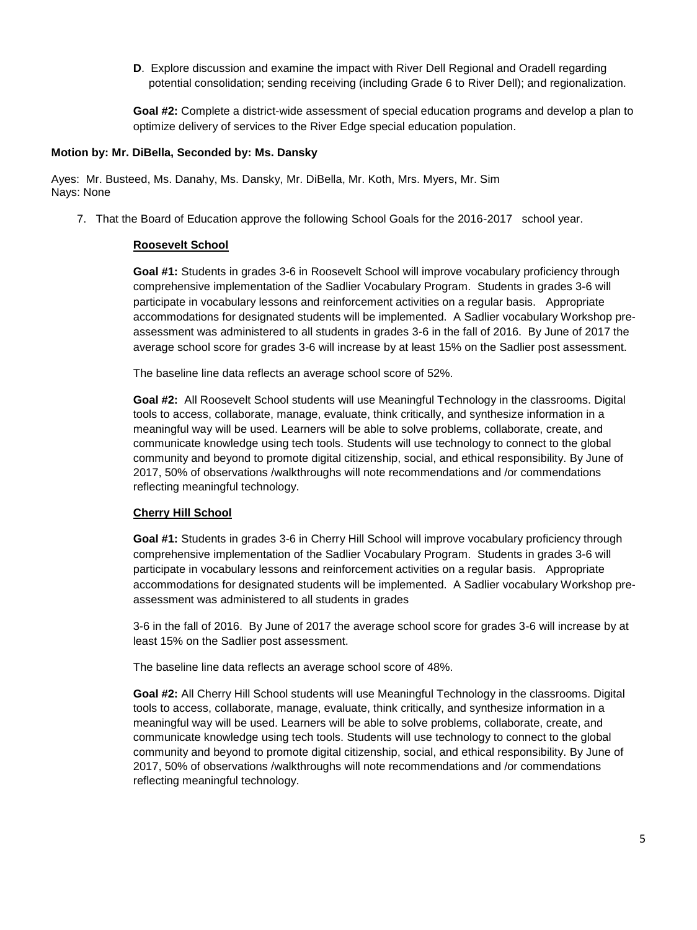**D.** Explore discussion and examine the impact with River Dell Regional and Oradell regarding potential consolidation; sending receiving (including Grade 6 to River Dell); and regionalization.

**Goal #2:** Complete a district-wide assessment of special education programs and develop a plan to optimize delivery of services to the River Edge special education population.

#### **Motion by: Mr. DiBella, Seconded by: Ms. Dansky**

Ayes: Mr. Busteed, Ms. Danahy, Ms. Dansky, Mr. DiBella, Mr. Koth, Mrs. Myers, Mr. Sim Nays: None

7. That the Board of Education approve the following School Goals for the 2016-2017 school year.

## **Roosevelt School**

**Goal #1:** Students in grades 3-6 in Roosevelt School will improve vocabulary proficiency through comprehensive implementation of the Sadlier Vocabulary Program. Students in grades 3-6 will participate in vocabulary lessons and reinforcement activities on a regular basis. Appropriate accommodations for designated students will be implemented. A Sadlier vocabulary Workshop preassessment was administered to all students in grades 3-6 in the fall of 2016. By June of 2017 the average school score for grades 3-6 will increase by at least 15% on the Sadlier post assessment.

The baseline line data reflects an average school score of 52%.

**Goal #2:** All Roosevelt School students will use Meaningful Technology in the classrooms. Digital tools to access, collaborate, manage, evaluate, think critically, and synthesize information in a meaningful way will be used. Learners will be able to solve problems, collaborate, create, and communicate knowledge using tech tools. Students will use technology to connect to the global community and beyond to promote digital citizenship, social, and ethical responsibility. By June of 2017, 50% of observations /walkthroughs will note recommendations and /or commendations reflecting meaningful technology.

#### **Cherry Hill School**

**Goal #1:** Students in grades 3-6 in Cherry Hill School will improve vocabulary proficiency through comprehensive implementation of the Sadlier Vocabulary Program. Students in grades 3-6 will participate in vocabulary lessons and reinforcement activities on a regular basis. Appropriate accommodations for designated students will be implemented. A Sadlier vocabulary Workshop preassessment was administered to all students in grades

3-6 in the fall of 2016. By June of 2017 the average school score for grades 3-6 will increase by at least 15% on the Sadlier post assessment.

The baseline line data reflects an average school score of 48%.

**Goal #2:** All Cherry Hill School students will use Meaningful Technology in the classrooms. Digital tools to access, collaborate, manage, evaluate, think critically, and synthesize information in a meaningful way will be used. Learners will be able to solve problems, collaborate, create, and communicate knowledge using tech tools. Students will use technology to connect to the global community and beyond to promote digital citizenship, social, and ethical responsibility. By June of 2017, 50% of observations /walkthroughs will note recommendations and /or commendations reflecting meaningful technology.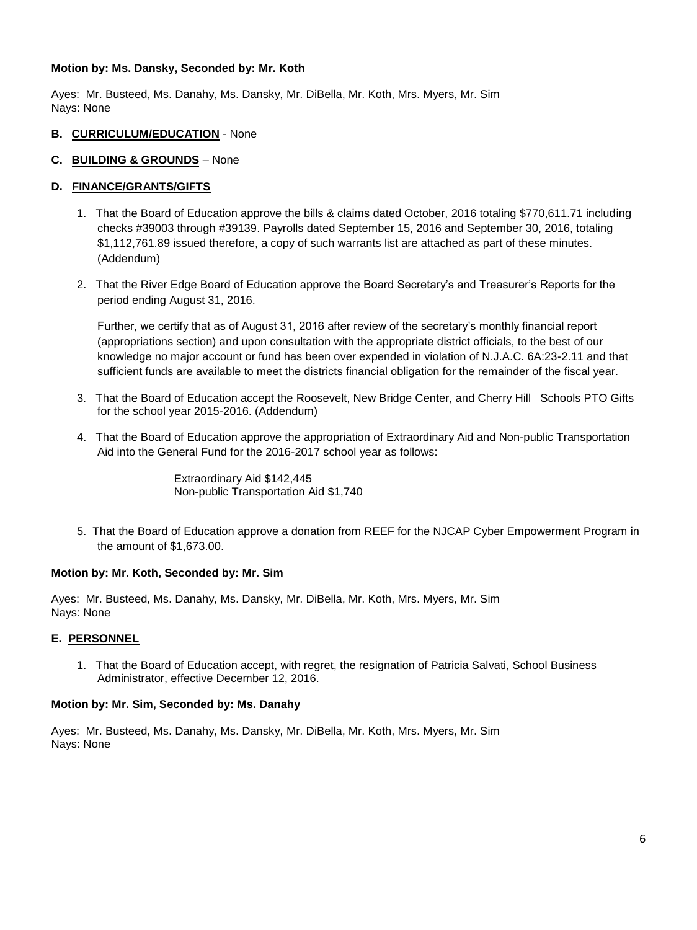#### **Motion by: Ms. Dansky, Seconded by: Mr. Koth**

Ayes: Mr. Busteed, Ms. Danahy, Ms. Dansky, Mr. DiBella, Mr. Koth, Mrs. Myers, Mr. Sim Nays: None

#### **B. CURRICULUM/EDUCATION** - None

## **C. BUILDING & GROUNDS** – None

## **D. FINANCE/GRANTS/GIFTS**

- 1. That the Board of Education approve the bills & claims dated October, 2016 totaling \$770,611.71 including checks #39003 through #39139. Payrolls dated September 15, 2016 and September 30, 2016, totaling \$1,112,761.89 issued therefore, a copy of such warrants list are attached as part of these minutes. (Addendum)
- 2. That the River Edge Board of Education approve the Board Secretary's and Treasurer's Reports for the period ending August 31, 2016.

Further, we certify that as of August 31, 2016 after review of the secretary's monthly financial report (appropriations section) and upon consultation with the appropriate district officials, to the best of our knowledge no major account or fund has been over expended in violation of N.J.A.C. 6A:23-2.11 and that sufficient funds are available to meet the districts financial obligation for the remainder of the fiscal year.

- 3. That the Board of Education accept the Roosevelt, New Bridge Center, and Cherry Hill Schools PTO Gifts for the school year 2015-2016. (Addendum)
- 4. That the Board of Education approve the appropriation of Extraordinary Aid and Non-public Transportation Aid into the General Fund for the 2016-2017 school year as follows:

Extraordinary Aid \$142,445 Non-public Transportation Aid \$1,740

5. That the Board of Education approve a donation from REEF for the NJCAP Cyber Empowerment Program in the amount of \$1,673.00.

#### **Motion by: Mr. Koth, Seconded by: Mr. Sim**

Ayes: Mr. Busteed, Ms. Danahy, Ms. Dansky, Mr. DiBella, Mr. Koth, Mrs. Myers, Mr. Sim Nays: None

## **E. PERSONNEL**

1. That the Board of Education accept, with regret, the resignation of Patricia Salvati, School Business Administrator, effective December 12, 2016.

#### **Motion by: Mr. Sim, Seconded by: Ms. Danahy**

Ayes: Mr. Busteed, Ms. Danahy, Ms. Dansky, Mr. DiBella, Mr. Koth, Mrs. Myers, Mr. Sim Nays: None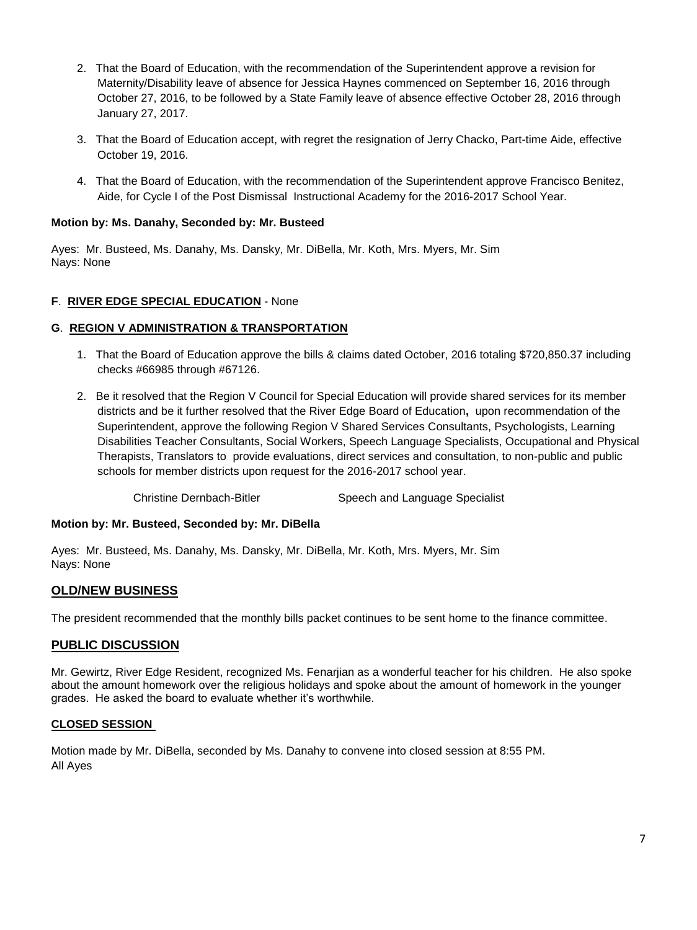- 2. That the Board of Education, with the recommendation of the Superintendent approve a revision for Maternity/Disability leave of absence for Jessica Haynes commenced on September 16, 2016 through October 27, 2016, to be followed by a State Family leave of absence effective October 28, 2016 through January 27, 2017.
- 3. That the Board of Education accept, with regret the resignation of Jerry Chacko, Part-time Aide, effective October 19, 2016.
- 4. That the Board of Education, with the recommendation of the Superintendent approve Francisco Benitez, Aide, for Cycle I of the Post Dismissal Instructional Academy for the 2016-2017 School Year.

## **Motion by: Ms. Danahy, Seconded by: Mr. Busteed**

Ayes: Mr. Busteed, Ms. Danahy, Ms. Dansky, Mr. DiBella, Mr. Koth, Mrs. Myers, Mr. Sim Nays: None

## **F**. **RIVER EDGE SPECIAL EDUCATION** - None

## **G**. **REGION V ADMINISTRATION & TRANSPORTATION**

- 1. That the Board of Education approve the bills & claims dated October, 2016 totaling \$720,850.37 including checks #66985 through #67126.
- 2. Be it resolved that the Region V Council for Special Education will provide shared services for its member districts and be it further resolved that the River Edge Board of Education**,** upon recommendation of the Superintendent, approve the following Region V Shared Services Consultants, Psychologists, Learning Disabilities Teacher Consultants, Social Workers, Speech Language Specialists, Occupational and Physical Therapists, Translators to provide evaluations, direct services and consultation, to non-public and public schools for member districts upon request for the 2016-2017 school year.

Christine Dernbach-Bitler Speech and Language Specialist

#### **Motion by: Mr. Busteed, Seconded by: Mr. DiBella**

Ayes: Mr. Busteed, Ms. Danahy, Ms. Dansky, Mr. DiBella, Mr. Koth, Mrs. Myers, Mr. Sim Nays: None

## **OLD/NEW BUSINESS**

The president recommended that the monthly bills packet continues to be sent home to the finance committee.

## **PUBLIC DISCUSSION**

Mr. Gewirtz, River Edge Resident, recognized Ms. Fenarjian as a wonderful teacher for his children. He also spoke about the amount homework over the religious holidays and spoke about the amount of homework in the younger grades. He asked the board to evaluate whether it's worthwhile.

## **CLOSED SESSION**

Motion made by Mr. DiBella, seconded by Ms. Danahy to convene into closed session at 8:55 PM. All Ayes